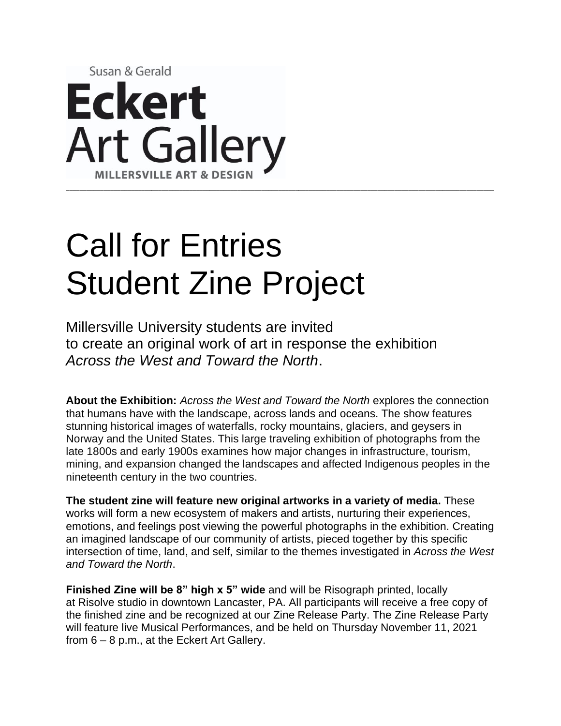

# Call for Entries Student Zine Project

Millersville University students are invited to create an original work of art in response the exhibition *Across the West and Toward the North*.

**About the Exhibition:** *Across the West and Toward the North* explores the connection that humans have with the landscape, across lands and oceans. The show features stunning historical images of waterfalls, rocky mountains, glaciers, and geysers in Norway and the United States. This large traveling exhibition of photographs from the late 1800s and early 1900s examines how major changes in infrastructure, tourism, mining, and expansion changed the landscapes and affected Indigenous peoples in the nineteenth century in the two countries.

**The student zine will feature new original artworks in a variety of media.** These works will form a new ecosystem of makers and artists, nurturing their experiences, emotions, and feelings post viewing the powerful photographs in the exhibition. Creating an imagined landscape of our community of artists, pieced together by this specific intersection of time, land, and self, similar to the themes investigated in *Across the West and Toward the North*.

**Finished Zine will be 8" high x 5" wide** and will be Risograph printed, locally at Risolve studio in downtown Lancaster, PA. All participants will receive a free copy of the finished zine and be recognized at our Zine Release Party. The Zine Release Party will feature live Musical Performances, and be held on Thursday November 11, 2021 from 6 – 8 p.m., at the Eckert Art Gallery.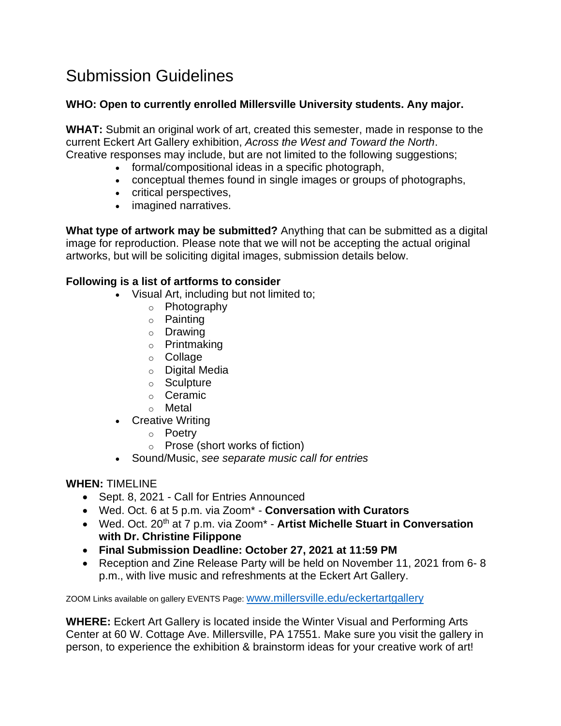# Submission Guidelines

### **WHO: Open to currently enrolled Millersville University students. Any major.**

**WHAT:** Submit an original work of art, created this semester, made in response to the current Eckert Art Gallery exhibition, *Across the West and Toward the North*. Creative responses may include, but are not limited to the following suggestions;

- formal/compositional ideas in a specific photograph,
- conceptual themes found in single images or groups of photographs,
- critical perspectives,
- imagined narratives.

**What type of artwork may be submitted?** Anything that can be submitted as a digital image for reproduction. Please note that we will not be accepting the actual original artworks, but will be soliciting digital images, submission details below.

## **Following is a list of artforms to consider**

- Visual Art, including but not limited to;
	- o Photography
	- o Painting
	- o Drawing
	- o Printmaking
	- o Collage
	- o Digital Media
	- o Sculpture
	- o Ceramic
	- o Metal
- Creative Writing
	- o Poetry
	- o Prose (short works of fiction)
- Sound/Music, *see separate music call for entries*

#### **WHEN:** TIMELINE

- Sept. 8, 2021 Call for Entries Announced
- Wed. Oct. 6 at 5 p.m. via Zoom\* **Conversation with Curators**
- Wed. Oct. 20<sup>th</sup> at 7 p.m. via Zoom<sup>\*</sup> Artist Michelle Stuart in Conversation **with Dr. Christine Filippone**
- **Final Submission Deadline: October 27, 2021 at 11:59 PM**
- Reception and Zine Release Party will be held on November 11, 2021 from 6- 8 p.m., with live music and refreshments at the Eckert Art Gallery.

ZOOM Links available on gallery EVENTS Page: [www.millersville.edu/eckertartgallery](http://www.millersville.edu/eckertartgallery)

**WHERE:** Eckert Art Gallery is located inside the Winter Visual and Performing Arts Center at 60 W. Cottage Ave. Millersville, PA 17551. Make sure you visit the gallery in person, to experience the exhibition & brainstorm ideas for your creative work of art!